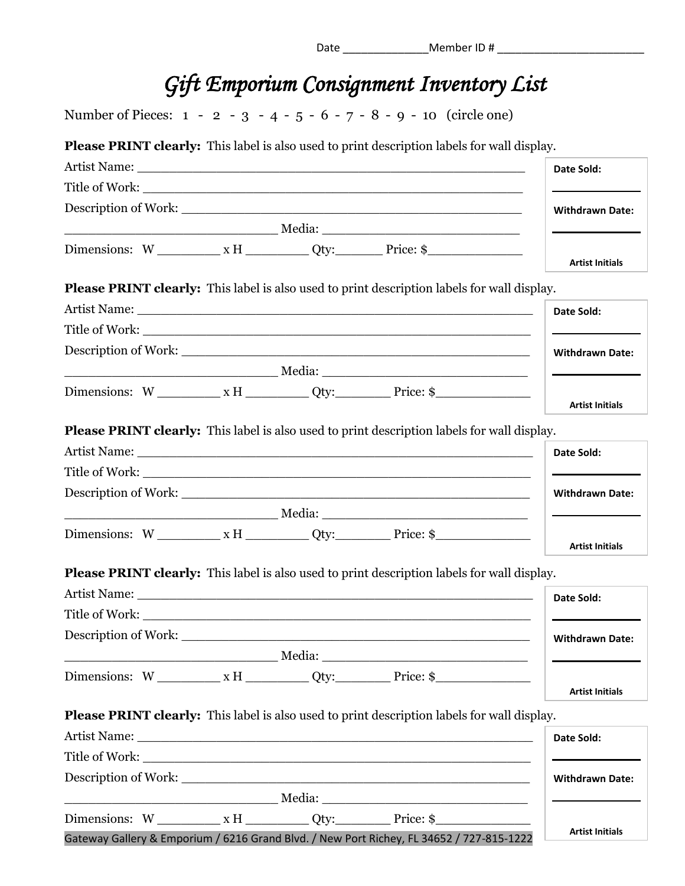| Date | Member ID# |  |
|------|------------|--|
|      |            |  |

## *Gift Emporium Consignment Inventory List*

Number of Pieces: 1 - 2 - 3 - 4 - 5 - 6 - 7 - 8 - 9 - 10 (circle one)

**Please PRINT clearly:** This label is also used to print description labels for wall display.

|                                                                                                                                                                                                                                |                        |  |                                                                                                    | Date Sold:             |  |
|--------------------------------------------------------------------------------------------------------------------------------------------------------------------------------------------------------------------------------|------------------------|--|----------------------------------------------------------------------------------------------------|------------------------|--|
|                                                                                                                                                                                                                                |                        |  |                                                                                                    |                        |  |
| Description of Work: New York: New York: New York: New York: New York: New York: New York: New York: New York: New York: New York: New York: New York: New York: New York: New York: New York: New York: New York: New York: N | <b>Withdrawn Date:</b> |  |                                                                                                    |                        |  |
|                                                                                                                                                                                                                                |                        |  |                                                                                                    |                        |  |
|                                                                                                                                                                                                                                |                        |  |                                                                                                    | <b>Artist Initials</b> |  |
|                                                                                                                                                                                                                                |                        |  | <b>Please PRINT clearly:</b> This label is also used to print description labels for wall display. |                        |  |
|                                                                                                                                                                                                                                |                        |  |                                                                                                    | Date Sold:             |  |
|                                                                                                                                                                                                                                |                        |  |                                                                                                    |                        |  |
|                                                                                                                                                                                                                                |                        |  |                                                                                                    | <b>Withdrawn Date:</b> |  |
|                                                                                                                                                                                                                                |                        |  |                                                                                                    |                        |  |
|                                                                                                                                                                                                                                |                        |  | Dimensions: $W_$ $X H_$ $Qty:$ $Price: $$                                                          |                        |  |
|                                                                                                                                                                                                                                |                        |  |                                                                                                    | <b>Artist Initials</b> |  |
|                                                                                                                                                                                                                                |                        |  | <b>Please PRINT clearly:</b> This label is also used to print description labels for wall display. |                        |  |
|                                                                                                                                                                                                                                |                        |  |                                                                                                    | Date Sold:             |  |
|                                                                                                                                                                                                                                |                        |  |                                                                                                    |                        |  |
|                                                                                                                                                                                                                                |                        |  |                                                                                                    | <b>Withdrawn Date:</b> |  |
|                                                                                                                                                                                                                                |                        |  |                                                                                                    |                        |  |
|                                                                                                                                                                                                                                |                        |  | Dimensions: $W_$ $X H_$ $Qty:$ $Price:$ $\$$                                                       | <b>Artist Initials</b> |  |
|                                                                                                                                                                                                                                |                        |  | <b>Please PRINT clearly:</b> This label is also used to print description labels for wall display. |                        |  |
|                                                                                                                                                                                                                                |                        |  |                                                                                                    | Date Sold:             |  |
|                                                                                                                                                                                                                                |                        |  |                                                                                                    |                        |  |
| Description of Work:                                                                                                                                                                                                           |                        |  |                                                                                                    | <b>Withdrawn Date:</b> |  |
|                                                                                                                                                                                                                                |                        |  |                                                                                                    |                        |  |
|                                                                                                                                                                                                                                |                        |  | Dimensions: $W_$ $X$ H $_$ $Qty$ : $Price: $$                                                      | <b>Artist Initials</b> |  |
|                                                                                                                                                                                                                                |                        |  | <b>Please PRINT clearly:</b> This label is also used to print description labels for wall display. |                        |  |
|                                                                                                                                                                                                                                |                        |  |                                                                                                    | Date Sold:             |  |
|                                                                                                                                                                                                                                |                        |  |                                                                                                    |                        |  |
|                                                                                                                                                                                                                                |                        |  |                                                                                                    | <b>Withdrawn Date:</b> |  |
|                                                                                                                                                                                                                                |                        |  |                                                                                                    |                        |  |
|                                                                                                                                                                                                                                |                        |  | Dimensions: $W_$ $XH_$ $Qty:$ $Price:$ $\$$                                                        |                        |  |
|                                                                                                                                                                                                                                |                        |  | Gateway Gallery & Emporium / 6216 Grand Blvd. / New Port Richey, FL 34652 / 727-815-1222           | <b>Artist Initials</b> |  |